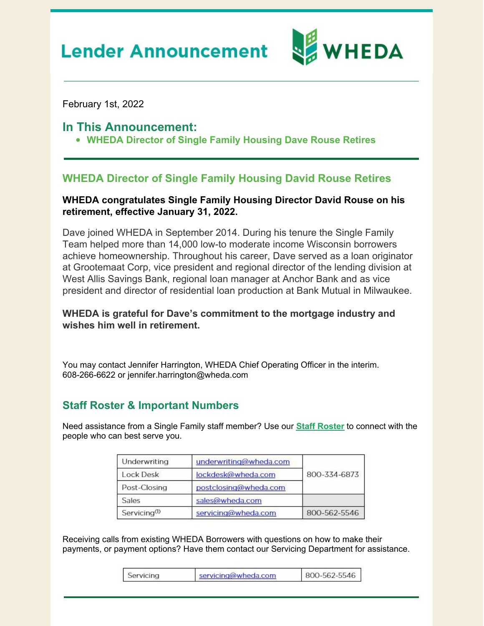# **Lender Announcement**



February 1st, 2022

### **In This Announcement:**

**WHEDA Director of Single Family Housing Dave Rouse Retires**

## **WHEDA Director of Single Family Housing David Rouse Retires**

#### **WHEDA congratulates Single Family Housing Director David Rouse on his retirement, effective January 31, 2022.**

Dave joined WHEDA in September 2014. During his tenure the Single Family Team helped more than 14,000 low-to moderate income Wisconsin borrowers achieve homeownership. Throughout his career, Dave served as a loan originator at Grootemaat Corp, vice president and regional director of the lending division at West Allis Savings Bank, regional loan manager at Anchor Bank and as vice president and director of residential loan production at Bank Mutual in Milwaukee.

#### **WHEDA is grateful for Dave's commitment to the mortgage industry and wishes him well in retirement.**

You may contact Jennifer Harrington, WHEDA Chief Operating Officer in the interim. 608-266-6622 or jennifer.harrington@wheda.com

## **Staff Roster & Important Numbers**

Need assistance from a Single Family staff member? Use our **Staff [Roster](https://www.wheda.com/globalassets/documents/mortgage-lending/single-family-staff-roster.pdf)** to connect with the people who can best serve you.

| Underwriting             | underwriting@wheda.com | 800-334-6873 |
|--------------------------|------------------------|--------------|
| Lock Desk                | lockdesk@wheda.com     |              |
| Post-Closing             | postclosing@wheda.com  |              |
| Sales                    | sales@wheda.com        |              |
| Servicing <sup>(1)</sup> | servicing@wheda.com    | 800-562-5546 |

Receiving calls from existing WHEDA Borrowers with questions on how to make their payments, or payment options? Have them contact our Servicing Department for assistance.

| Servicing | servicing@wheda.com | 800-562-5546 |
|-----------|---------------------|--------------|
|-----------|---------------------|--------------|